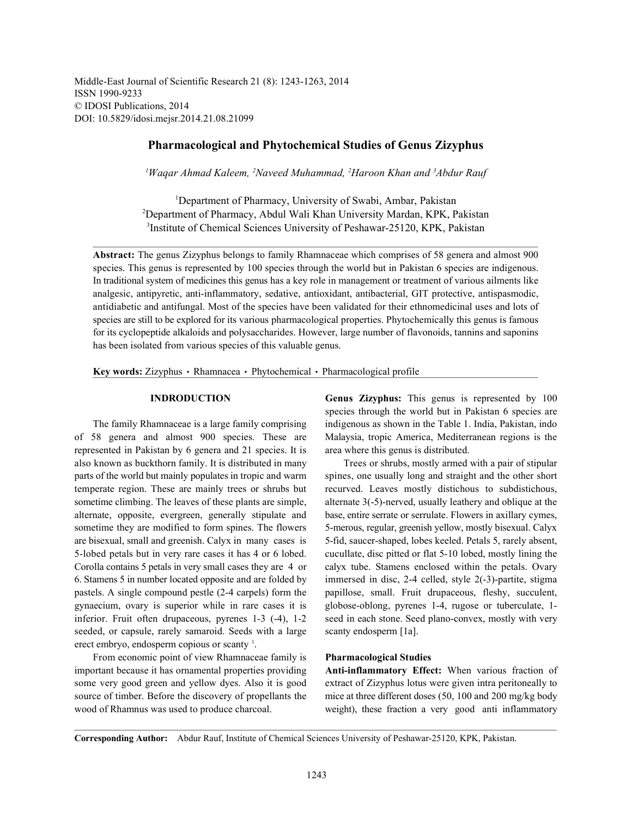Middle-East Journal of Scientific Research 21 (8): 1243-1263, 2014 ISSN 1990-9233 © IDOSI Publications, 2014 DOI: 10.5829/idosi.mejsr.2014.21.08.21099

# **Pharmacological and Phytochemical Studies of Genus Zizyphus**

<sup>1</sup> Wagar Ahmad Kaleem, <sup>2</sup>Naveed Muhammad, <sup>2</sup>Haroon Khan and <sup>3</sup>Abdur Rauf

<sup>1</sup>Department of Pharmacy, University of Swabi, Ambar, Pakistan <sup>2</sup>Department of Pharmacy, Abdul Wali Khan University Mardan, KPK, Pakistan <sup>3</sup>Institute of Chemical Sciences University of Peshawar-25120, KPK, Pakistan

**Abstract:** The genus Zizyphus belongs to family Rhamnaceae which comprises of 58 genera and almost 900 species. This genus is represented by 100 species through the world but in Pakistan 6 species are indigenous. In traditional system of medicines this genus has a key role in management or treatment of various ailments like analgesic, antipyretic, anti-inflammatory, sedative, antioxidant, antibacterial, GIT protective, antispasmodic, antidiabetic and antifungal. Most of the species have been validated for their ethnomedicinal uses and lots of species are still to be explored for its various pharmacological properties. Phytochemically this genus is famous for its cyclopeptide alkaloids and polysaccharides. However, large number of flavonoids, tannins and saponins has been isolated from various species of this valuable genus.

Key words: Zizyphus · Rhamnacea · Phytochemical · Pharmacological profile

of 58 genera and almost 900 species. These are Malaysia, tropic America, Mediterranean regions is the represented in Pakistan by 6 genera and 21 species. It is area where this genus is distributed. also known as buckthorn family. It is distributed in many Trees or shrubs, mostly armed with a pair of stipular parts of the world but mainly populates in tropic and warm spines, one usually long and straight and the other short temperate region. These are mainly trees or shrubs but recurved. Leaves mostly distichous to subdistichous, sometime climbing. The leaves of these plants are simple, alternate 3(-5)-nerved, usually leathery and oblique at the alternate, opposite, evergreen, generally stipulate and base, entire serrate or serrulate. Flowers in axillary cymes, sometime they are modified to form spines. The flowers 5-merous, regular, greenish yellow, mostly bisexual. Calyx are bisexual, small and greenish. Calyx in many cases is 5-fid, saucer-shaped, lobes keeled. Petals 5, rarely absent, 5-lobed petals but in very rare cases it has 4 or 6 lobed. cucullate, disc pitted or flat 5-10 lobed, mostly lining the Corolla contains 5 petals in very small cases they are 4 or calyx tube. Stamens enclosed within the petals. Ovary 6. Stamens 5 in number located opposite and are folded by immersed in disc, 2-4 celled, style 2(-3)-partite, stigma pastels. A single compound pestle (2-4 carpels) form the papillose, small. Fruit drupaceous, fleshy, succulent, gynaecium, ovary is superior while in rare cases it is globose-oblong, pyrenes 1-4, rugose or tuberculate, 1 inferior. Fruit often drupaceous, pyrenes 1-3 (-4), 1-2 seed in each stone. Seed plano-convex, mostly with very seeded, or capsule, rarely samaroid. Seeds with a large scanty endosperm [1a]. erect embryo, endosperm copious or scanty  $\frac{1}{1}$ .

From economic point of view Rhamnaceae family is **Pharmacological Studies** important because it has ornamental properties providing **Anti-inflammatory Effect:** When various fraction of

**INDRODUCTION Genus Zizyphus:** This genus is represented by 100 The family Rhamnaceae is a large family comprising indigenous as shown in the Table 1. India, Pakistan, indo species through the world but in Pakistan 6 species are

some very good green and yellow dyes. Also it is good extract of Zizyphus lotus were given intra peritoneally to source of timber. Before the discovery of propellants the mice at three different doses (50, 100 and 200 mg/kg body wood of Rhamnus was used to produce charcoal. weight), these fraction a very good anti inflammatory

**Corresponding Author:** Abdur Rauf, Institute of Chemical Sciences University of Peshawar-25120, KPK, Pakistan.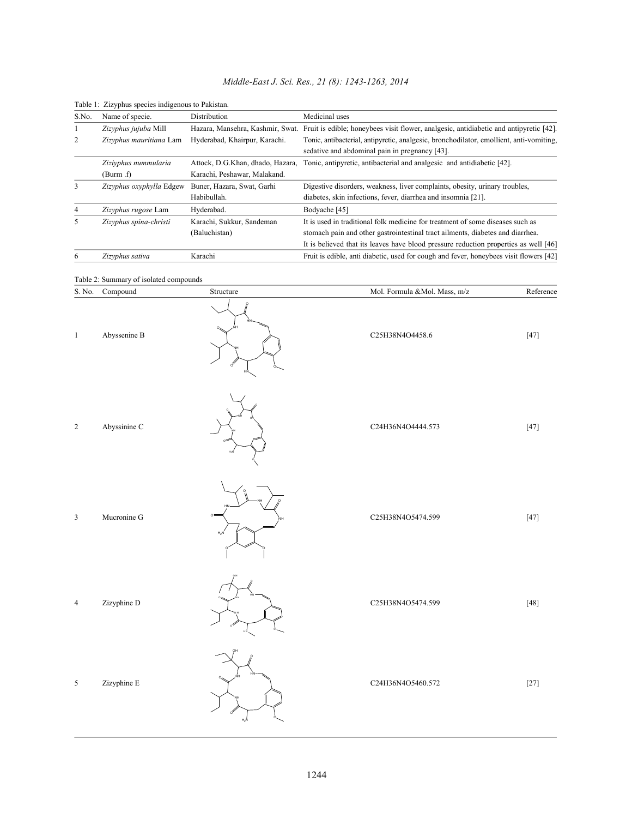|  | Middle-East J. Sci. Res., 21 (8): 1243-1263, 2014 |  |  |  |  |  |
|--|---------------------------------------------------|--|--|--|--|--|
|--|---------------------------------------------------|--|--|--|--|--|

| S.No. | Name of specie.          | Distribution                     | Medicinal uses                                                                                                                            |
|-------|--------------------------|----------------------------------|-------------------------------------------------------------------------------------------------------------------------------------------|
|       | Zizyphus jujuba Mill     | Hazara, Mansehra, Kashmir, Swat. | Fruit is edible; honeybees visit flower, analgesic, antidiabetic and antipyretic [42].                                                    |
| 2     | Zizyphus mauritiana Lam  | Hyderabad, Khairpur, Karachi.    | Tonic, antibacterial, antipyretic, analgesic, bronchodilator, emollient, anti-vomiting,<br>sedative and abdominal pain in pregnancy [43]. |
|       | Ziziyphus nummularia     | Attock, D.G.Khan, dhado, Hazara, | Tonic, antipyretic, antibacterial and analgesic and antidiabetic [42].                                                                    |
|       | (Burm.f)                 | Karachi, Peshawar, Malakand.     |                                                                                                                                           |
| 3     | Zizyphus oxyphylla Edgew | Buner, Hazara, Swat, Garhi       | Digestive disorders, weakness, liver complaints, obesity, urinary troubles,                                                               |
|       |                          | Habibullah.                      | diabetes, skin infections, fever, diarrhea and insomnia [21].                                                                             |
| 4     | Zizyphus rugose Lam      | Hyderabad.                       | Bodyache [45]                                                                                                                             |
| 5     | Zizyphus spina-christi   | Karachi, Sukkur, Sandeman        | It is used in traditional folk medicine for treatment of some diseases such as                                                            |
|       |                          | (Baluchistan)                    | stomach pain and other gastrointestinal tract ailments, diabetes and diarrhea.                                                            |
|       |                          |                                  | It is believed that its leaves have blood pressure reduction properties as well [46]                                                      |
| 6     | Zizyphus sativa          | Karachi                          | Fruit is edible, anti diabetic, used for cough and fever, honeybees visit flowers [42]                                                    |

#### Table 1: Zizyphus species indigenous to Pakistan.

#### Table 2: Summary of isolated compounds

| S. No.         | Compound     | Structure           | Mol. Formula &Mol. Mass, m/z | Reference |
|----------------|--------------|---------------------|------------------------------|-----------|
| $\mathbf{1}$   | Abyssenine B |                     | C25H38N4O4458.6              | $[47]$    |
| $\sqrt{2}$     | Abyssinine C |                     | C24H36N4O4444.573            | $[47]$    |
| $\mathfrak{Z}$ | Mucronine G  | $\circ$ =<br>$H_2N$ | C25H38N4O5474.599            | $[47]$    |
| $\overline{4}$ | Zizyphine D  |                     | C25H38N4O5474.599            | $[48]$    |
| $\sqrt{5}$     | Zizyphine E  | $H_2N$              | C24H36N4O5460.572            | $[27]$    |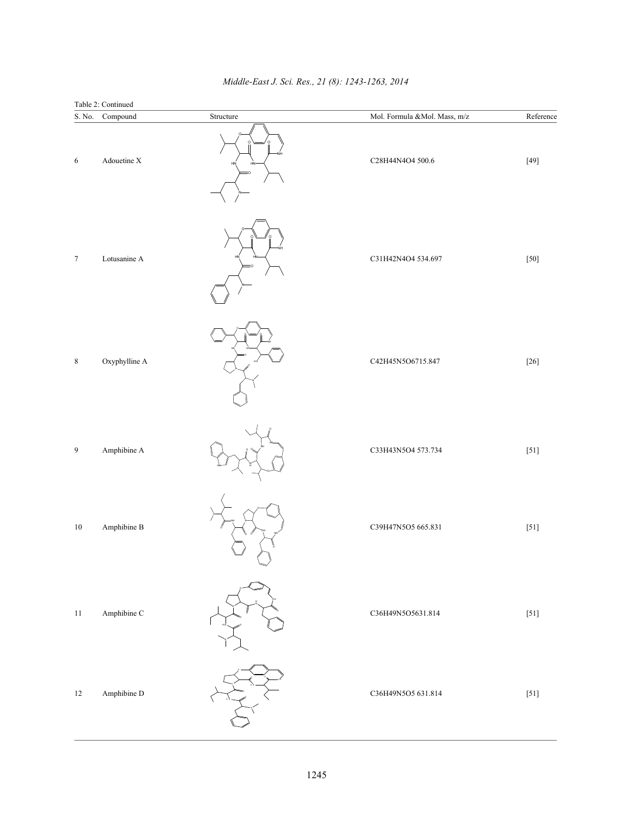| $\mathbf S.$ No. | Table 2: Continued<br>Compound | Structure | Mol. Formula &<br>Mol. Mass, $\ensuremath{\mathsf{m}}\xspace/\ensuremath{\mathsf{z}}\xspace$ | Reference |
|------------------|--------------------------------|-----------|----------------------------------------------------------------------------------------------|-----------|
| 6                | Adouetine X                    | HN        | C28H44N4O4 500.6                                                                             | $[49]$    |
| $\boldsymbol{7}$ | Lotusanine A                   |           | C31H42N4O4 534.697                                                                           | $[50]$    |
| $\,$ 8 $\,$      | Oxyphylline A                  |           | C42H45N5O6715.847                                                                            | $[26]$    |
| 9                | Amphibine A                    |           | C33H43N5O4 573.734                                                                           | $[51]$    |
| $10\,$           | Amphibine B                    |           | C39H47N5O5 665.831                                                                           | $[51]$    |
| $11\,$           | Amphibine C                    |           | C36H49N5O5631.814                                                                            | $[51]$    |
| $12\,$           | Amphibine D                    |           | C36H49N5O5 631.814                                                                           | $[51]$    |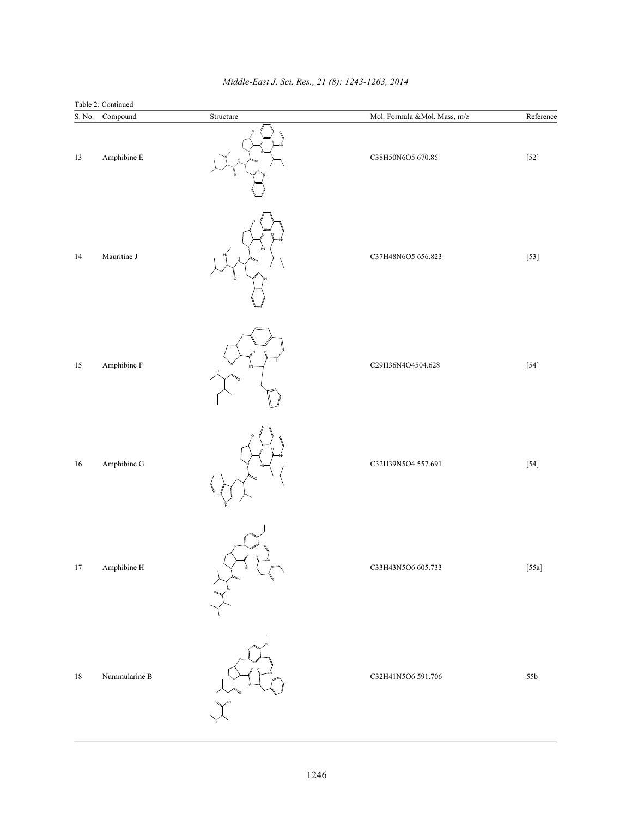|                  | Table 2: Continued  |           |                              |           |
|------------------|---------------------|-----------|------------------------------|-----------|
| $\mathbf S.$ No. | Compound            | Structure | Mol. Formula &Mol. Mass, m/z | Reference |
| $13\,$           | Amphibine E         |           | C38H50N6O5 670.85            | $[52]$    |
| 14               | Mauritine J         |           | C37H48N6O5 656.823           | $[53]$    |
| $15\,$           | Amphibine ${\bf F}$ |           | C29H36N4O4504.628            | $[54]$    |
| $16\,$           | Amphibine G         |           | C32H39N5O4 557.691           | $[54]$    |
| $17\,$           | Amphibine H         | ö         | C33H43N5O6 605.733           | $[55a]$   |
| $18\,$           | Nummularine B       |           | C32H41N5O6 591.706           | 55b       |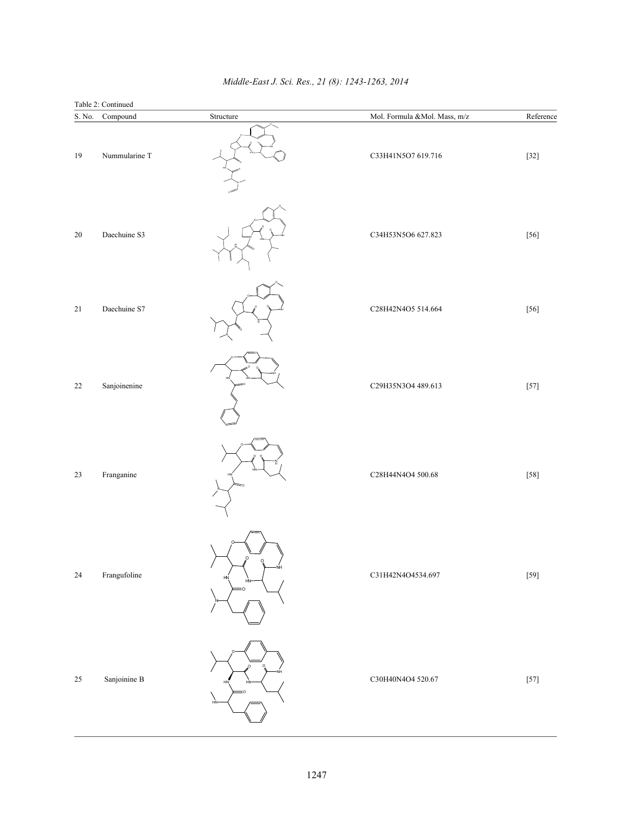| S. No.      | Table 2: Continued<br>Compound | Structure            | Mol. Formula &Mol. Mass, m/z | Reference |
|-------------|--------------------------------|----------------------|------------------------------|-----------|
| 19          | Nummularine T                  |                      | C33H41N5O7 619.716           | $[32]$    |
| $20\,$      | Daechuine S3                   |                      | C34H53N5O6 627.823           | $[56]$    |
| $21\,$      | Daechuine S7                   |                      | C28H42N4O5 514.664           | $[56]$    |
| 22          | Sanjoinenine                   |                      | C29H35N3O4 489.613           | $[57]$    |
| $23\,$      | Franganine                     |                      | C28H44N4O4 500.68            | $[58]$    |
| $\sqrt{24}$ | Frangufoline                   | NΗ<br>H <sub>N</sub> | C31H42N4O4534.697            | $[59]$    |
| $25\,$      | Sanjoinine B                   | $\sim$               | C30H40N4O4 520.67            | $[57]$    |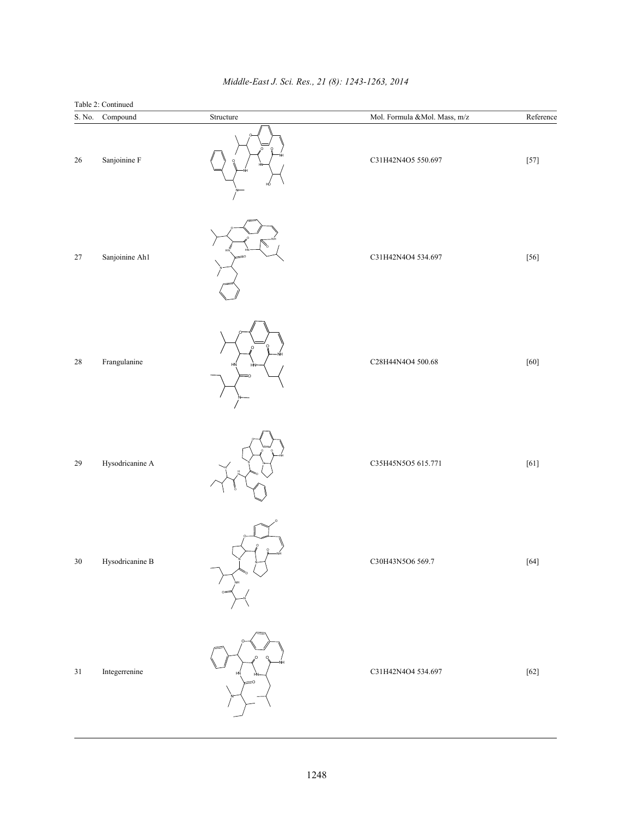|                  | Table 2: Continued                                   |           |                              |           |
|------------------|------------------------------------------------------|-----------|------------------------------|-----------|
| $\mathbf S.$ No. | Compound                                             | Structure | Mol. Formula &Mol. Mass, m/z | Reference |
| 26               | Sanjoinine F                                         | нó        | C31H42N4O5 550.697           | $[57]$    |
| $27\,$           | Sanjoinine Ah1                                       |           | C31H42N4O4 534.697           | $[56]$    |
| $28\,$           | Frangulanine                                         | O<br>HN   | C28H44N4O4 500.68            | $[60]$    |
| 29               | Hysodricanine A                                      |           | C35H45N5O5 615.771           | $[61]$    |
| 30               | Hysodricanine B                                      |           | C30H43N5O6 569.7             | $[64]$    |
| $3\sqrt{1}$      | Integer<br>renine $% \left\vert \cdot \right\rangle$ | $\infty$  | C31H42N4O4 534.697           | $[62]$    |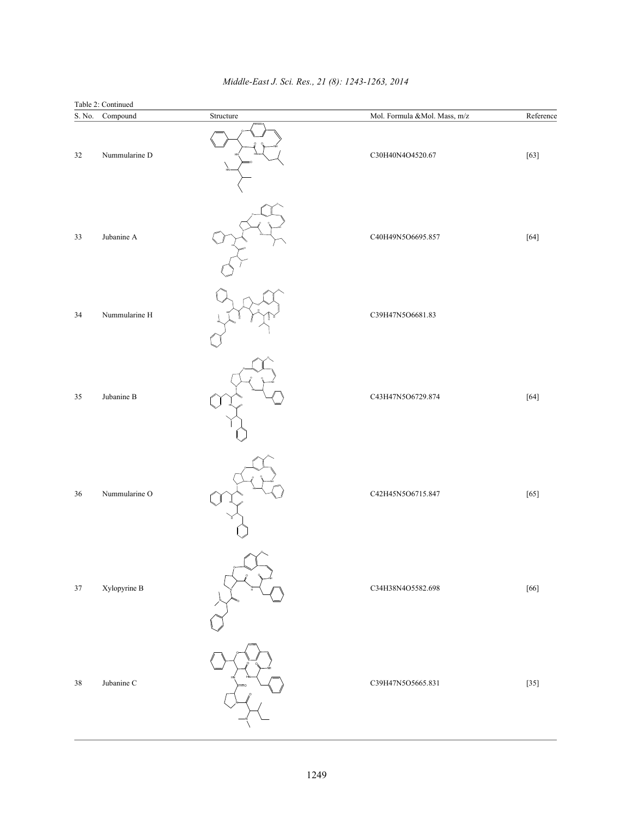| $\mathbf S.$ No. | Table 2: Continued<br>Compound | Structure | Mol. Formula &Mol. Mass, m/z | Reference |
|------------------|--------------------------------|-----------|------------------------------|-----------|
| $32\,$           | Nummularine D                  |           | C30H40N4O4520.67             | $[63]$    |
| 33               | Jubanine A                     |           | C40H49N5O6695.857            | $[64]$    |
| 34               | Nummularine H                  |           | C39H47N5O6681.83             |           |
| 35               | Jubanine B                     |           | C43H47N5O6729.874            | $[64]$    |
| 36               | Nummularine O                  |           | C42H45N5O6715.847            | $[65]$    |
| $37\,$           | Xylopyrine B                   |           | C34H38N4O5582.698            | $[66]$    |
| $3\,$            | Jubanine C                     |           | C39H47N5O5665.831            | $[35]$    |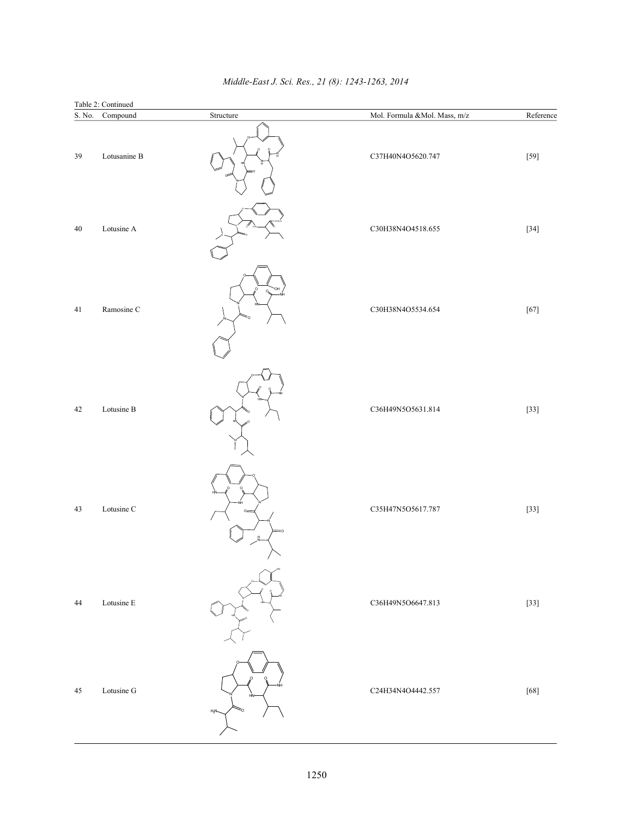| $\mathbf S.$ No. | Table 2: Continued<br>Compound | Structure        | Mol. Formula &Mol. Mass, m/z | Reference |
|------------------|--------------------------------|------------------|------------------------------|-----------|
| 39               | Lotusanine B                   |                  | C37H40N4O5620.747            | $[59]$    |
| 40               | Lotusine A                     |                  | C30H38N4O4518.655            | $[34]$    |
| 41               | Ramosine C                     | H                | C30H38N4O5534.654            | $[67]$    |
| $42\,$           | Lotusine B                     |                  | C36H49N5O5631.814            | $[33]$    |
| 43               | Lotusine C                     | O <sup>2</sup>   | C35H47N5O5617.787            | $[33]$    |
| $44$             | Lotusine E                     |                  | C36H49N5O6647.813            | $[33]$    |
| $45\,$           | Lotusine G                     | H <sub>2</sub> N | C24H34N4O4442.557            | $[68]$    |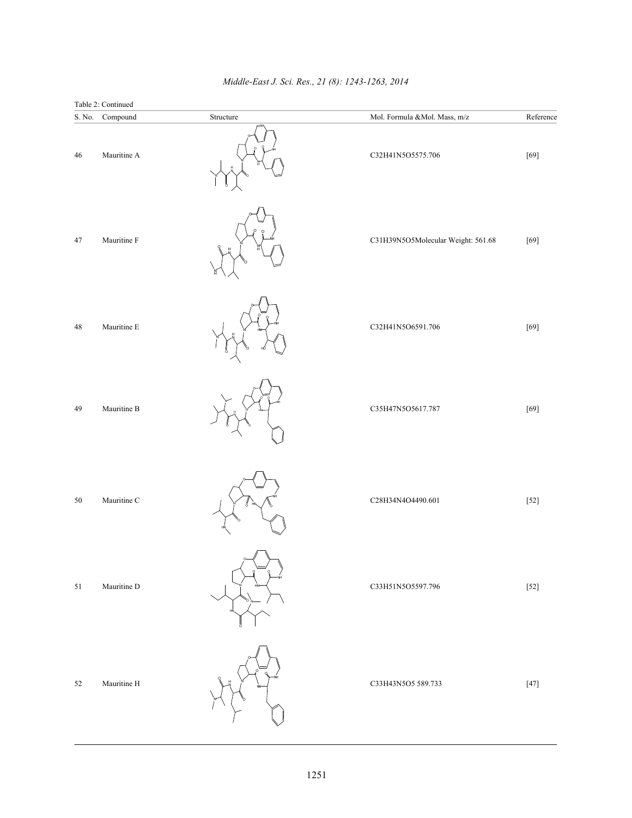|                  | Table 2: Continued  |           |                                                                                              |           |
|------------------|---------------------|-----------|----------------------------------------------------------------------------------------------|-----------|
| $\mathbf S.$ No. | Compound            | Structure | Mol. Formula &<br>Mol. Mass, $\ensuremath{\mathsf{m}}\xspace/\ensuremath{\mathsf{z}}\xspace$ | Reference |
| 46               | Mauritine A         |           | C32H41N5O5575.706                                                                            | $[69]$    |
| $47\,$           | Mauritine F         |           | C31H39N5O5Molecular Weight: 561.68                                                           | $[69]$    |
| $48\,$           | Mauritine ${\bf E}$ |           | C32H41N5O6591.706                                                                            | $[69]$    |
| 49               | Mauritine B         |           | C35H47N5O5617.787                                                                            | $[69]$    |
| 50               | Mauritine C         |           | C28H34N4O4490.601                                                                            | $[52]$    |
| 51               | Mauritine D         |           | C33H51N5O5597.796                                                                            | $[52]$    |
| $52\,$           | Mauritine H         |           | C33H43N5O5 589.733                                                                           | $[47]$    |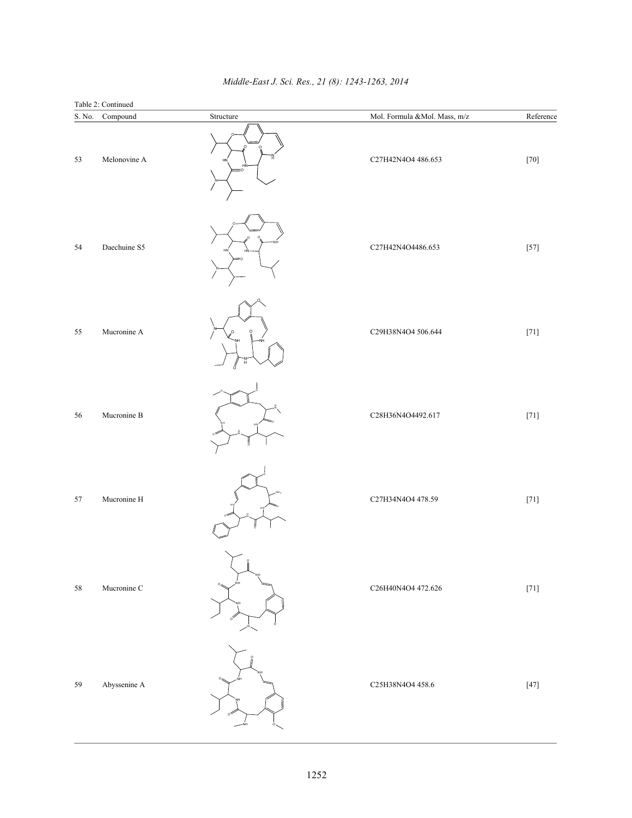|                  | Table 2: Continued   |           |                              |           |
|------------------|----------------------|-----------|------------------------------|-----------|
| $\mathbf S.$ No. | Compound             | Structure | Mol. Formula &Mol. Mass, m/z | Reference |
| 53               | Melonovine A         |           | C27H42N4O4 486.653           | $[70]$    |
| 54               | Daechuine S5         |           | C27H42N4O4486.653            | $[57]$    |
| 55               | Mucronine A          |           | C29H38N4O4 506.644           | $[71]$    |
| 56               | Mucronine B          |           | C28H36N4O4492.617            | $[71]$    |
| 57               | Mucronine H          |           | C27H34N4O4 478.59            | $[71]$    |
| $58\,$           | Mucronine C          |           | C26H40N4O4 472.626           | $[71]$    |
| 59               | Abyssenine ${\bf A}$ |           | C25H38N4O4 458.6             | $[47]$    |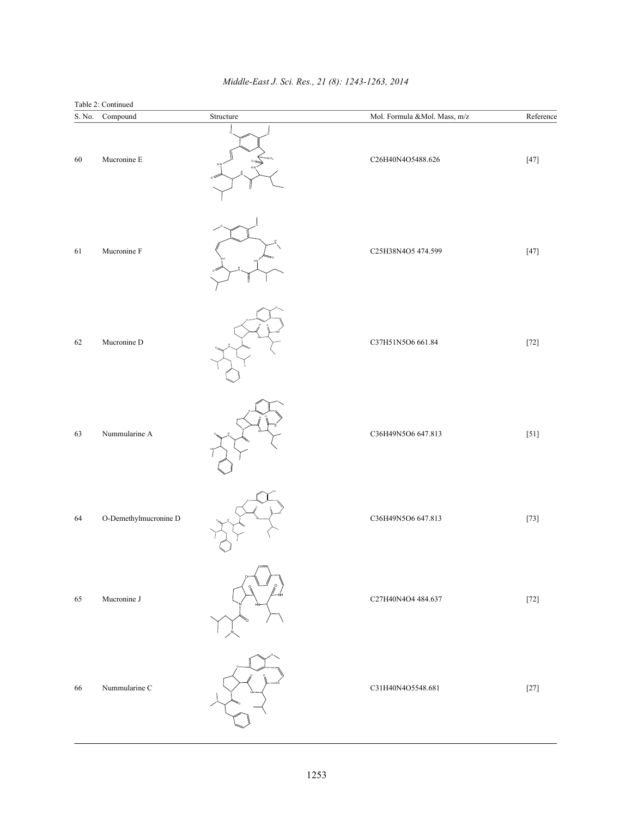| $\mathbf S.$ No. | Table 2: Continued<br>Compound | Structure | Mol. Formula &<br>Mol. Mass, $\ensuremath{\mathsf{m}}\xspace/\ensuremath{\mathsf{z}}\xspace$ | Reference |
|------------------|--------------------------------|-----------|----------------------------------------------------------------------------------------------|-----------|
| 60               | Mucronine E                    |           | C26H40N4O5488.626                                                                            | $[47]$    |
| 61               | Mucronine F                    |           | C25H38N4O5 474.599                                                                           | $[47]$    |
| 62               | Mucronine D                    |           | C37H51N5O6 661.84                                                                            | $[72]$    |
| 63               | Nummularine A                  |           | C36H49N5O6 647.813                                                                           | $[51]$    |
| 64               | O-Demethylmucronine D          |           | C36H49N5O6 647.813                                                                           | $[73]$    |
| 65               | Mucronine J                    |           | C27H40N4O4 484.637                                                                           | $[72]$    |
| 66               | Nummularine C                  |           | C31H40N4O5548.681                                                                            | $[27]$    |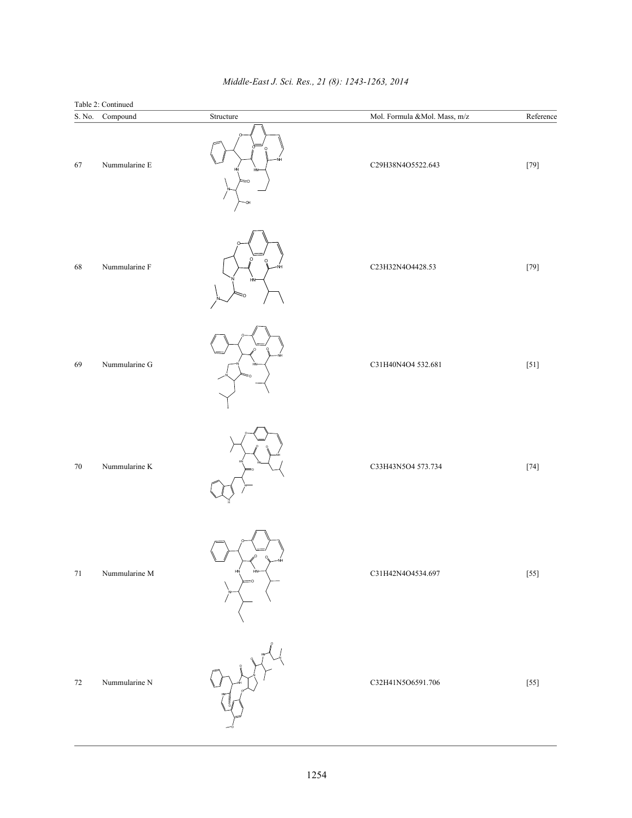| $\mathbf S.$ No. | Table 2: Continued<br>Compound | Structure | Mol. Formula &Mol. Mass, m/z | Reference         |
|------------------|--------------------------------|-----------|------------------------------|-------------------|
| 67               | Nummularine E                  | H₩<br>ΞŌ. | C29H38N4O5522.643            | $\left[79\right]$ |
| $\sqrt{68}$      | Nummularine F                  | H         | C23H32N4O4428.53             | $[79]$            |
| 69               | Nummularine G                  |           | C31H40N4O4 532.681           | $[51]$            |
| $70\,$           | Nummularine K                  |           | C33H43N5O4 573.734           | $\left[74\right]$ |
| $71\,$           | Nummularine M                  | HN        | C31H42N4O4534.697            | $[55]$            |
| $72\,$           | Nummularine N                  |           | C32H41N5O6591.706            | $[55]$            |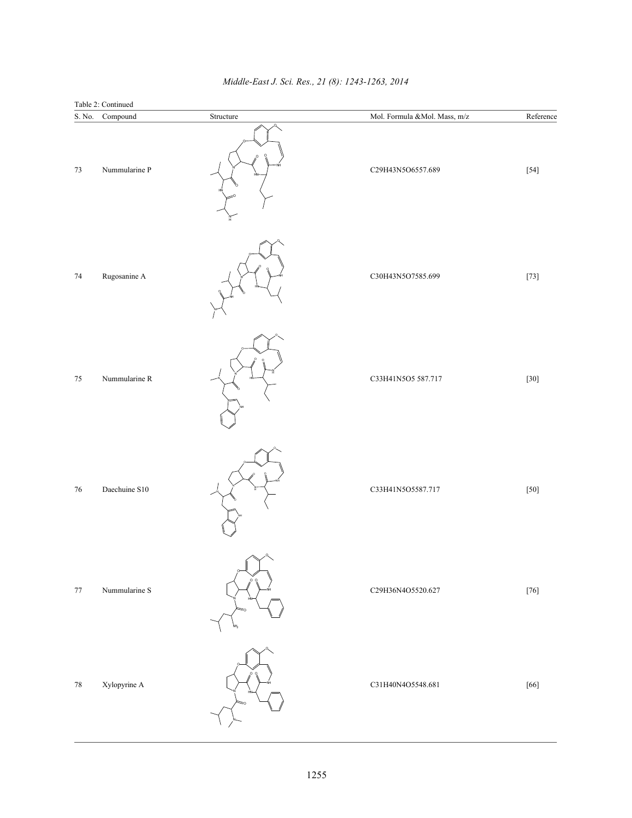| $\mathbf S.$ No. | Table 2: Continued<br>Compound | $\begin{array}{ll} \mathrm{Structure} \end{array}$ | Mol. Formula &<br>Mol. Mass, $\ensuremath{\mathsf{m}}\xspace/\ensuremath{\mathsf{z}}\xspace$ | Reference |
|------------------|--------------------------------|----------------------------------------------------|----------------------------------------------------------------------------------------------|-----------|
| $73\,$           | Nummularine P                  |                                                    | C29H43N5O6557.689                                                                            | $[54]$    |
| $74\,$           | Rugosanine A                   |                                                    | C30H43N5O7585.699                                                                            | $[73]$    |
| $75\,$           | Nummularine R                  |                                                    | C33H41N5O5 587.717                                                                           | $[30]$    |
| 76               | Daechuine S10                  |                                                    | C33H41N5O5587.717                                                                            | $[50]$    |
| $77\,$           | Nummularine S                  |                                                    | C29H36N4O5520.627                                                                            | $[76]$    |
| $78\,$           | Xylopyrine A                   |                                                    | C31H40N4O5548.681                                                                            | $[66]$    |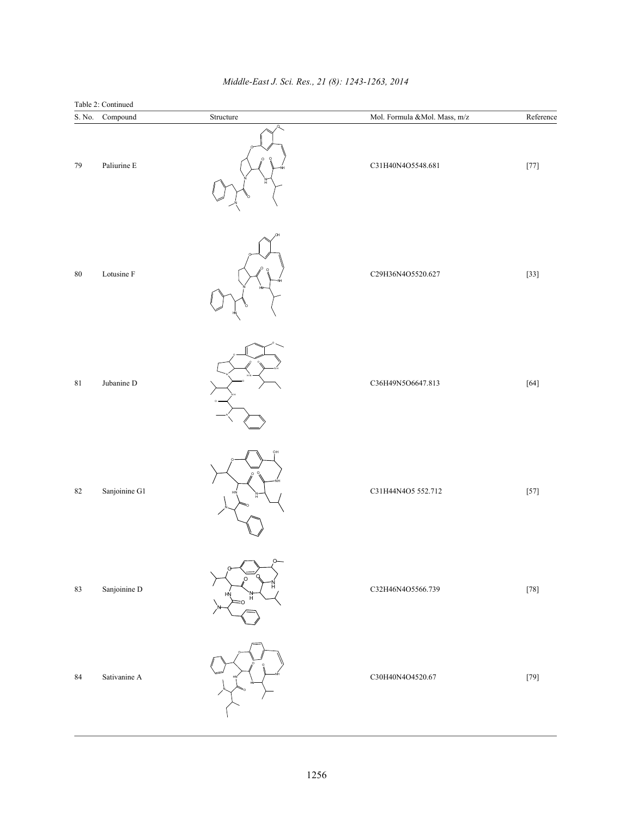| Table 2: Continued |                 |           |                              |                   |  |  |
|--------------------|-----------------|-----------|------------------------------|-------------------|--|--|
|                    | S. No. Compound | Structure | Mol. Formula &Mol. Mass, m/z | Reference         |  |  |
| 79                 | Paliurine E     |           | C31H40N4O5548.681            | $[77]$            |  |  |
| $80\,$             | Lotusine F      |           | C29H36N4O5520.627            | $[33]$            |  |  |
| $8\sqrt{1}$        | Jubanine D      |           | C36H49N5O6647.813            | $[64]$            |  |  |
| $82\,$             | Sanjoinine G1   |           | C31H44N4O5 552.712           | $[57]$            |  |  |
| 83                 | Sanjoinine D    |           | C32H46N4O5566.739            | $\left[78\right]$ |  |  |
| $\bf 84$           | Sativanine A    |           | C30H40N4O4520.67             | $\left[79\right]$ |  |  |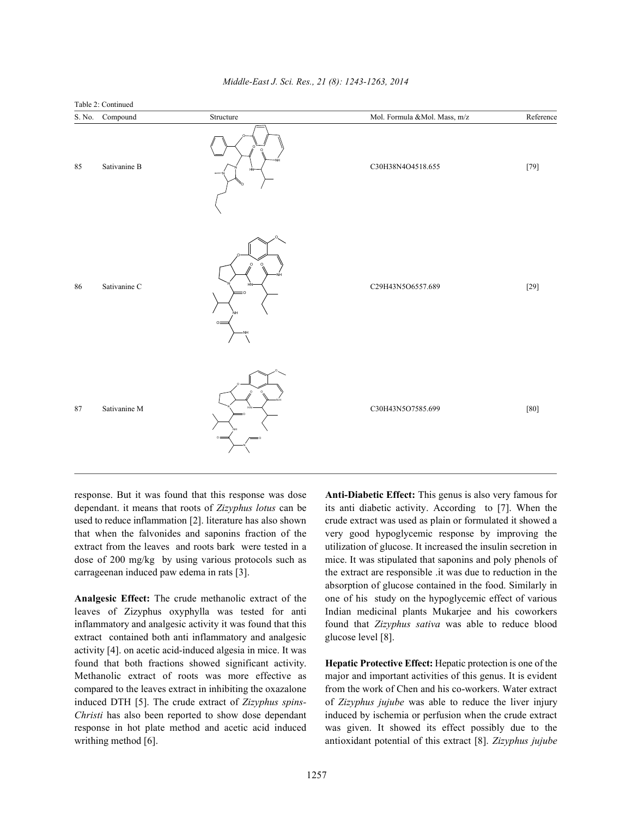

dependant. it means that roots of *Zizyphus lotus* can be its anti diabetic activity. According to [7]. When the used to reduce inflammation [2]. literature has also shown crude extract was used as plain or formulated it showed a that when the falvonides and saponins fraction of the very good hypoglycemic response by improving the extract from the leaves and roots bark were tested in a utilization of glucose. It increased the insulin secretion in dose of 200 mg/kg by using various protocols such as mice. It was stipulated that saponins and poly phenols of carrageenan induced paw edema in rats [3]. the extract are responsible .it was due to reduction in the

leaves of Zizyphus oxyphylla was tested for anti Indian medicinal plants Mukarjee and his coworkers inflammatory and analgesic activity it was found that this found that *Zizyphus sativa* was able to reduce blood extract contained both anti-inflammatory and analgesic glucose level [8]. activity [4]. on acetic acid-induced algesia in mice. It was found that both fractions showed significant activity. **Hepatic Protective Effect:** Hepatic protection is one of the Methanolic extract of roots was more effective as major and important activities of this genus. It is evident compared to the leaves extract in inhibiting the oxazalone from the work of Chen and his co-workers. Water extract induced DTH [5]. The crude extract of *Zizyphus spins-* of *Zizyphus jujube* was able to reduce the liver injury *Christi* has also been reported to show dose dependant induced by ischemia or perfusion when the crude extract response in hot plate method and acetic acid induced was given. It showed its effect possibly due to the writhing method [6]. **antioxidant potential of this extract** [8]. *Zizyphus jujube* 

response. But it was found that this response was dose **Anti-Diabetic Effect:** This genus is also very famous for **Analgesic Effect:** The crude methanolic extract of the one of his study on the hypoglycemic effect of various absorption of glucose contained in the food. Similarly in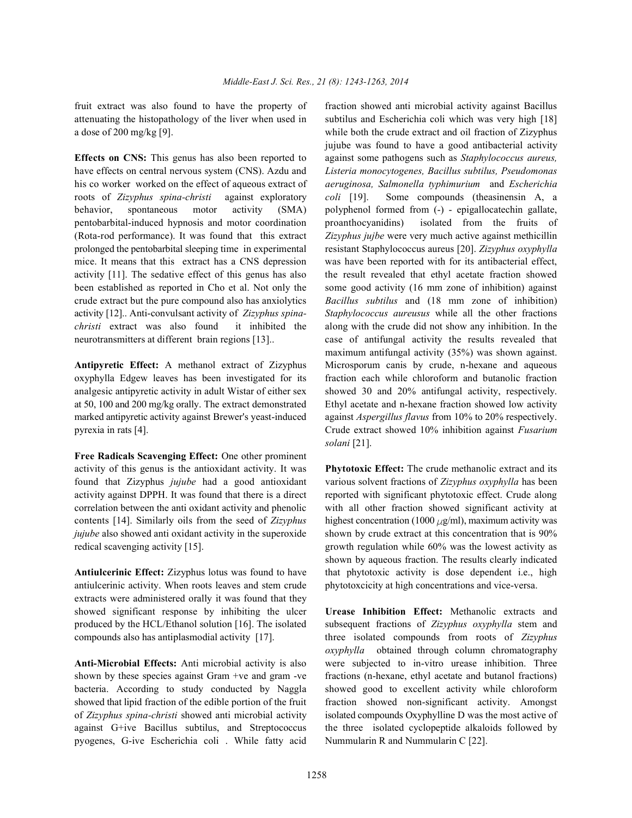fruit extract was also found to have the property of fraction showed anti microbial activity against Bacillus a dose of 200 mg/kg [9]. while both the crude extract and oil fraction of Zizyphus

have effects on central nervous system (CNS). Azdu and *Listeria monocytogenes, Bacillus subtilus, Pseudomonas* his co worker worked on the effect of aqueous extract of *aeruginosa, Salmonella typhimurium* and *Escherichia* roots of *Zizyphus spina-christi* against exploratory *coli* [19]. Some compounds (theasinensin A, a behavior, spontaneous motor activity (SMA) polyphenol formed from  $(-)$  - epigallocatechin gallate, pentobarbital-induced hypnosis and motor coordination proanthocyanidins) isolated from the fruits of (Rota-rod performance). It was found that this extract *Zizyphus jujbe* were very much active against methicillin prolonged the pentobarbital sleeping time in experimental resistant Staphylococcus aureus [20]. *Zizyphus oxyphylla* mice. It means that this extract has a CNS depression was have been reported with for its antibacterial effect, activity [11]. The sedative effect of this genus has also the result revealed that ethyl acetate fraction showed been established as reported in Cho et al. Not only the some good activity (16 mm zone of inhibition) against crude extract but the pure compound also has anxiolytics *Bacillus subtilus* and (18 mm zone of inhibition) activity [12].. Anti-convulsant activity of *Zizyphus spina- Staphylococcus aureusus* while all the other fractions *christi* extract was also found it inhibited the along with the crude did not show any inhibition. In the neurotransmitters at different brain regions [13].. case of antifungal activity the results revealed that

oxyphylla Edgew leaves has been investigated for its fraction each while chloroform and butanolic fraction analgesic antipyretic activity in adult Wistar of either sex showed 30 and 20% antifungal activity, respectively. at 50, 100 and 200 mg/kg orally. The extract demonstrated Ethyl acetate and n-hexane fraction showed low activity marked antipyretic activity against Brewer's yeast-induced against *Aspergillus flavus* from 10% to 20% respectively. pyrexia in rats [4]. Crude extract showed 10% inhibition against *Fusarium*

**Free Radicals Scavenging Effect:** One other prominent activity of this genus is the antioxidant activity. It was **Phytotoxic Effect:** The crude methanolic extract and its found that Zizyphus *jujube* had a good antioxidant various solvent fractions of *Zizyphus oxyphylla* has been activity against DPPH. It was found that there is a direct reported with significant phytotoxic effect. Crude along correlation between the anti oxidant activity and phenolic with all other fraction showed significant activity at contents [14]. Similarly oils from the seed of *Zizyphus* highest concentration (1000  $\mu$ g/ml), maximum activity was *jujube* also showed anti oxidant activity in the superoxide shown by crude extract at this concentration that is 90% redical scavenging activity [15]. growth regulation while 60% was the lowest activity as

antiulcerinic activity. When roots leaves and stem crude phytotoxcicity at high concentrations and vice-versa. extracts were administered orally it was found that they showed significant response by inhibiting the ulcer **Urease Inhibition Effect:** Methanolic extracts and produced by the HCL/Ethanol solution [16]. The isolated subsequent fractions of *Zizyphus oxyphylla* stem and compounds also has antiplasmodial activity [17]. three isolated compounds from roots of *Zizyphus*

**Anti-Microbial Effects:** Anti microbial activity is also were subjected to in-vitro urease inhibition. Three shown by these species against Gram +ve and gram -ve fractions (n-hexane, ethyl acetate and butanol fractions) bacteria. According to study conducted by Naggla showed good to excellent activity while chloroform showed that lipid fraction of the edible portion of the fruit fraction showed non-significant activity. Amongst of *Zizyphus spina-christi* showed anti microbial activity isolated compounds Oxyphylline D was the most active of against G+ive Bacillus subtilus, and Streptococcus the three isolated cyclopeptide alkaloids followed by pyogenes, G-ive Escherichia coli . While fatty acid Nummularin R and Nummularin C [22].

attenuating the histopathology of the liver when used in subtilus and Escherichia coli which was very high [18] **Effects on CNS:** This genus has also been reported to against some pathogens such as *Staphylococcus aureus,* **Antipyretic Effect:** A methanol extract of Zizyphus Microsporum canis by crude, n-hexane and aqueous jujube was found to have a good antibacterial activity maximum antifungal activity (35%) was shown against. *solani* [21].

**Antiulcerinic Effect:** Zizyphus lotus was found to have that phytotoxic activity is dose dependent i.e., high shown by aqueous fraction. The results clearly indicated

*oxyphylla* obtained through column chromatography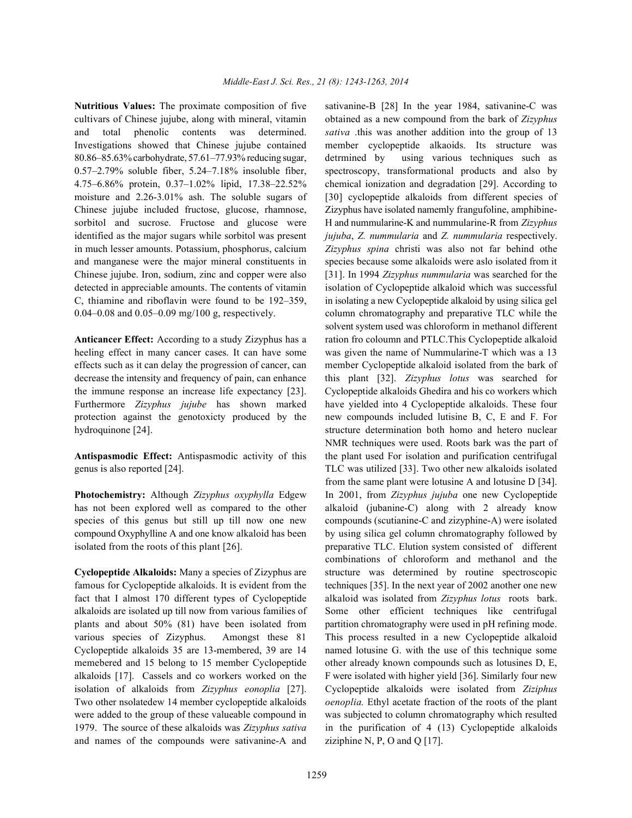cultivars of Chinese jujube, along with mineral, vitamin obtained as a new compound from the bark of *Zizyphus* and total phenolic contents was determined. *sativa* .this was another addition into the group of 13 Investigations showed that Chinese jujube contained member cyclopeptide alkaoids. Its structure was 80.86–85.63% carbohydrate, 57.61–77.93% reducing sugar, detrmined by using various techniques such as 0.57–2.79% soluble fiber, 5.24–7.18% insoluble fiber, spectroscopy, transformational products and also by 4.75–6.86% protein, 0.37–1.02% lipid, 17.38–22.52% chemical ionization and degradation [29]. According to moisture and 2.26-3.01% ash. The soluble sugars of [30] cyclopeptide alkaloids from different species of Chinese jujube included fructose, glucose, rhamnose, Zizyphus have isolated namemly frangufoline, amphibinesorbitol and sucrose. Fructose and glucose were H and nummularine-K and nummularine-R from *Zizyphus* identified as the major sugars while sorbitol was present *jujuba*, *Z. nummularia* and *Z. nummularia* respectively. in much lesser amounts. Potassium, phosphorus, calcium *Zizyphus spina* christi was also not far behind othe and manganese were the major mineral constituents in species because some alkaloids were aslo isolated from it Chinese jujube. Iron, sodium, zinc and copper were also [31]. In 1994 *Zizyphus nummularia* was searched for the detected in appreciable amounts. The contents of vitamin isolation of Cyclopeptide alkaloid which was successful C, thiamine and riboflavin were found to be 192–359, in isolating a new Cyclopeptide alkaloid by using silica gel  $0.04-0.08$  and  $0.05-0.09$  mg/100 g, respectively. column chromatography and preparative TLC while the

heeling effect in many cancer cases. It can have some was given the name of Nummularine-T which was a 13 effects such as it can delay the progression of cancer, can member Cyclopeptide alkaloid isolated from the bark of decrease the intensity and frequency of pain, can enhance this plant [32]. *Zizyphus lotus* was searched for the immune response an increase life expectancy [23]. Cyclopeptide alkaloids Ghedira and his co workers which Furthermore *Zizyphus jujube* has shown marked have yielded into 4 Cyclopeptide alkaloids. These four protection against the genotoxicty produced by the new compounds included lutisine B, C, E and F. For hydroquinone [24]. structure determination both homo and hetero nuclear

genus is also reported [24]. TLC was utilized [33]. Two other new alkaloids isolated

has not been explored well as compared to the other alkaloid (jubanine-C) along with 2 already know species of this genus but still up till now one new compounds (scutianine-C and zizyphine-A) were isolated compound Oxyphylline A and one know alkaloid has been by using silica gel column chromatography followed by isolated from the roots of this plant [26]. preparative TLC. Elution system consisted of different

famous for Cyclopeptide alkaloids. It is evident from the techniques [35]. In the next year of 2002 another one new fact that I almost 170 different types of Cyclopeptide alkaloid was isolated from *Zizyphus lotus* roots bark. alkaloids are isolated up till now from various families of Some other efficient techniques like centrifugal plants and about 50% (81) have been isolated from partition chromatography were used in pH refining mode. various species of Zizyphus. Amongst these 81 This process resulted in a new Cyclopeptide alkaloid Cyclopeptide alkaloids 35 are 13-membered, 39 are 14 named lotusine G. with the use of this technique some memebered and 15 belong to 15 member Cyclopeptide other already known compounds such as lotusines D, E, alkaloids [17]. Cassels and co workers worked on the F were isolated with higher yield [36]. Similarly four new isolation of alkaloids from *Zizyphus eonoplia* [27]. Cyclopeptide alkaloids were isolated from *Ziziphus* Two other nsolatedew 14 member cyclopeptide alkaloids *oenoplia.* Ethyl acetate fraction of the roots of the plant were added to the group of these valueable compound in was subjected to column chromatography which resulted 1979. The source of these alkaloids was *Zizyphus sativa* in the purification of 4 (13) Cyclopeptide alkaloids and names of the compounds were sativanine-A and ziziphine N, P, O and Q  $[17]$ .

**Nutritious Values:** The proximate composition of five sativanine-B [28] In the year 1984, sativanine-C was **Anticancer Effect:** According to a study Zizyphus has a ration fro coloumn and PTLC.This Cyclopeptide alkaloid **Antispasmodic Effect:** Antispasmodic activity of this the plant used For isolation and purification centrifugal **Photochemistry:** Although *Zizyphus oxyphylla* Edgew In 2001, from *Zizyphus jujuba* one new Cyclopeptide **Cyclopeptide Alkaloids:** Many a species of Zizyphus are structure was determined by routine spectroscopic solvent system used was chloroform in methanol different NMR techniques were used. Roots bark was the part of from the same plant were lotusine A and lotusine D [34]. combinations of chloroform and methanol and the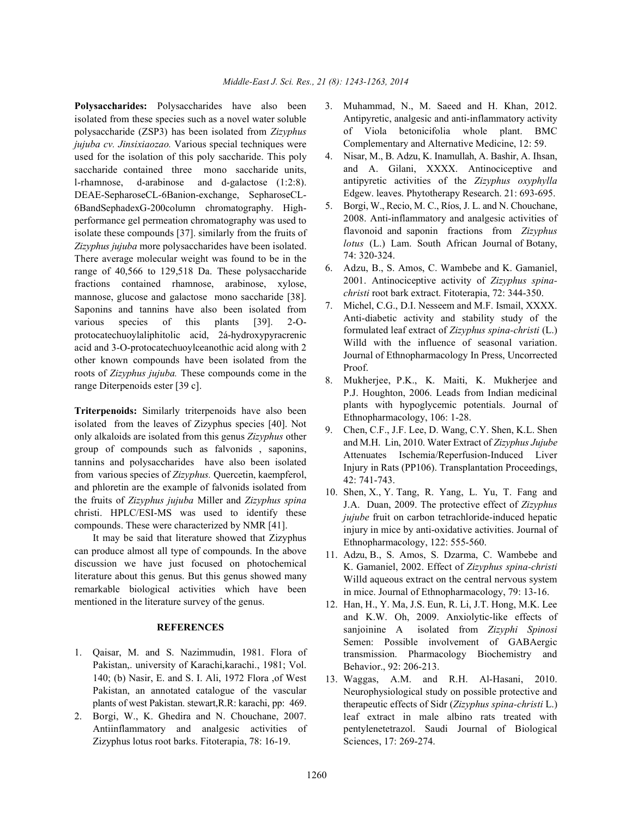isolated from these species such as a novel water soluble polysaccharide (ZSP3) has been isolated from *Zizyphus jujuba cv. Jinsixiaozao.* Various special techniques were used for the isolation of this poly saccharide. This poly saccharide contained three mono saccharide units, l-rhamnose, d-arabinose and d-galactose (1:2:8). DEAE-SepharoseCL-6Banion-exchange, SepharoseCL-6BandSephadexG-200column chromatography. Highperformance gel permeation chromatography was used to isolate these compounds [37]. similarly from the fruits of *Zizyphus jujuba* more polysaccharides have been isolated. There average molecular weight was found to be in the range of 40,566 to 129,518 Da. These polysaccharide fractions contained rhamnose, arabinose, xylose, mannose, glucose and galactose mono saccharide [38]. Saponins and tannins have also been isolated from various species of this plants [39]. 2-Oprotocatechuoylaliphitolic acid, 2á-hydroxypyracrenic acid and 3-O-protocatechuoylceanothic acid along with 2 other known compounds have been isolated from the roots of *Zizyphus jujuba.* These compounds come in the range Diterpenoids ester [39 c].

**Triterpenoids:** Similarly triterpenoids have also been isolated from the leaves of Zizyphus species [40]. Not only alkaloids are isolated from this genus *Zizyphus* other group of compounds such as falvonids , saponins, tannins and polysaccharides have also been isolated from various species of *Zizyphus.* Quercetin, kaempferol, and phloretin are the example of falvonids isolated from the fruits of *Zizyphus jujuba* Miller and *Zizyphus spina* christi. HPLC/ESI-MS was used to identify these compounds. These were characterized by NMR [41].

It may be said that literature showed that Zizyphus can produce almost all type of compounds. In the above discussion we have just focused on photochemical literature about this genus. But this genus showed many remarkable biological activities which have been mentioned in the literature survey of the genus.

#### **REFERENCES**

- 1. Qaisar, M. and S. Nazimmudin, 1981. Flora of Pakistan,. university of Karachi,karachi., 1981; Vol. 140; (b) Nasir, E. and S. I. Ali, 1972 Flora ,of West Pakistan, an annotated catalogue of the vascular plants of west Pakistan. stewart,R.R: karachi, pp: 469.
- 2. Borgi, W., K. Ghedira and N. Chouchane, 2007. Antiinflammatory and analgesic activities of Zizyphus lotus root barks. Fitoterapia, 78: 16-19.
- **Polysaccharides:** Polysaccharides have also been 3. Muhammad, N., M. Saeed and H. Khan, 2012. Antipyretic, analgesic and anti-inflammatory activity of Viola betonicifolia whole plant. BMC Complementary and Alternative Medicine, 12: 59.
	- 4. Nisar, M., B. Adzu, K. Inamullah, A. Bashir, A. Ihsan, and A. Gilani, XXXX. Antinociceptive and antipyretic activities of the *Zizyphus oxyphylla* Edgew. leaves. Phytotherapy Research. 21: 693-695.
	- 5. Borgi, W., Recio, M. C., Ríos, J. L. and N. Chouchane, 2008. Anti-inflammatory and analgesic activities of flavonoid and saponin fractions from *Zizyphus lotus* (L.) Lam. South African Journal of Botany, 74: 320-324.
	- 6. Adzu, B., S. Amos, C. Wambebe and K. Gamaniel, 2001. Antinociceptive activity of *Zizyphus spinachristi* root bark extract. Fitoterapia, 72: 344-350.
	- 7. Michel, C.G., D.I. Nesseem and M.F. Ismail, XXXX. Anti-diabetic activity and stability study of the formulated leaf extract of *Zizyphus spina-christi* (L.) Willd with the influence of seasonal variation. Journal of Ethnopharmacology In Press, Uncorrected Proof.
	- 8. Mukherjee, P.K., K. Maiti, K. Mukherjee and P.J. Houghton, 2006. Leads from Indian medicinal plants with hypoglycemic potentials. Journal of Ethnopharmacology, 106: 1-28.
	- 9. Chen, C.F., J.F. Lee, D. Wang, C.Y. Shen, K.L. Shen and M.H. Lin, 2010. Water Extract of *Zizyphus Jujube* Attenuates Ischemia/Reperfusion-Induced Liver Injury in Rats (PP106). Transplantation Proceedings, 42: 741-743.
	- 10. Shen, X., Y. Tang, R. Yang, L. Yu, T. Fang and J.A. Duan, 2009. The protective effect of *Zizyphus jujube* fruit on carbon tetrachloride-induced hepatic injury in mice by anti-oxidative activities. Journal of Ethnopharmacology, 122: 555-560.
	- 11. Adzu, B., S. Amos, S. Dzarma, C. Wambebe and K. Gamaniel, 2002. Effect of *Zizyphus spina-christi* Willd aqueous extract on the central nervous system in mice. Journal of Ethnopharmacology, 79: 13-16.
	- 12. Han, H., Y. Ma, J.S. Eun, R. Li, J.T. Hong, M.K. Lee and K.W. Oh, 2009. Anxiolytic-like effects of sanjoinine A isolated from *Zizyphi Spinosi* Semen: Possible involvement of GABAergic transmission. Pharmacology Biochemistry and Behavior., 92: 206-213.
	- 13. Waggas, A.M. and R.H. Al-Hasani, 2010. Neurophysiological study on possible protective and therapeutic effects of Sidr (*Zizyphus spina-christi* L.) leaf extract in male albino rats treated with pentylenetetrazol. Saudi Journal of Biological Sciences, 17: 269-274.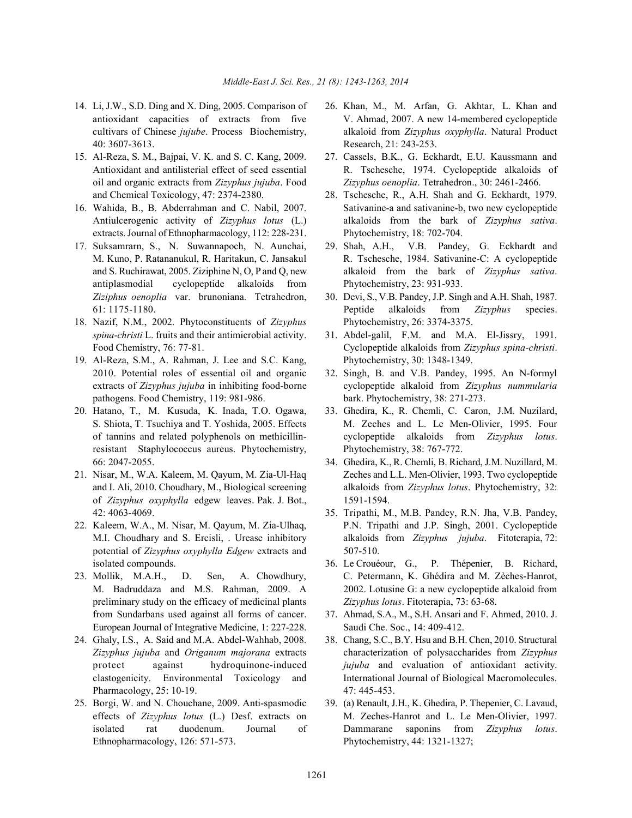- 40: 3607-3613. Research, 21: 243-253.
- and Chemical Toxicology, 47: 2374-2380. 28. Tschesche, R., A.H. Shah and G. Eckhardt, 1979.
- extracts. Journal of Ethnopharmacology, 112: 228-231. Phytochemistry, 18: 702-704.
- 17. Suksamrarn, S., N. Suwannapoch, N. Aunchai, 29. Shah, A.H., V.B. Pandey, G. Eckhardt and antiplasmodial cyclopeptide alkaloids from Phytochemistry, 23: 931-933. *Ziziphus oenoplia* var. brunoniana. Tetrahedron, 30. Devi, S., V.B. Pandey, J.P. Singh and A.H. Shah, 1987.
- 18. Nazif, N.M., 2002. Phytoconstituents of *Zizyphus* Phytochemistry, 26: 3374-3375. *spina-christi* L. fruits and their antimicrobial activity. 31. Abdel-galil, F.M. and M.A. El-Jissry, 1991.
- 19. Al-Reza, S.M., A. Rahman, J. Lee and S.C. Kang, Phytochemistry, 30: 1348-1349. 2010. Potential roles of essential oil and organic 32. Singh, B. and V.B. Pandey, 1995. An N-formyl pathogens. Food Chemistry, 119: 981-986. bark. Phytochemistry, 38: 271-273.
- 20. Hatano, T., M. Kusuda, K. Inada, T.O. Ogawa, 33. Ghedira, K., R. Chemli, C. Caron, J.M. Nuzilard, resistant Staphylococcus aureus. Phytochemistry, Phytochemistry, 38: 767-772. 66: 2047-2055. 34. Ghedira, K., R. Chemli, B. Richard, J.M. Nuzillard, M.
- of *Zizyphus oxyphylla* edgew leaves. Pak. J. Bot., 1591-1594. 42: 4063-4069. 35. Tripathi, M., M.B. Pandey, R.N. Jha, V.B. Pandey,
- potential of *Zizyphus oxyphylla Edgew* extracts and 507-510. isolated compounds. 36. Le Crouéour, G., P. Thépenier, B. Richard,
- preliminary study on the efficacy of medicinal plants *Zizyphus lotus*. Fitoterapia, 73: 63-68. from Sundarbans used against all forms of cancer. 37. Ahmad, S.A., M., S.H. Ansari and F. Ahmed, 2010. J. European Journal of Integrative Medicine, 1: 227-228. Saudi Che. Soc., 14: 409-412.
- 24. Ghaly, I.S., A. Said and M.A. Abdel-Wahhab, 2008. 38. Chang, S.C., B.Y. Hsu and B.H. Chen, 2010. Structural Pharmacology, 25: 10-19. 47: 445-453.
- Ethnopharmacology, 126: 571-573. Phytochemistry, 44: 1321-1327;
- 14. Li, J.W., S.D. Ding and X. Ding, 2005. Comparison of 26. Khan, M., M. Arfan, G. Akhtar, L. Khan and antioxidant capacities of extracts from five V. Ahmad, 2007. A new 14-membered cyclopeptide cultivars of Chinese *jujube*. Process Biochemistry, alkaloid from *Zizyphus oxyphylla*. Natural Product
- 15. Al-Reza, S. M., Bajpai, V. K. and S. C. Kang, 2009. 27. Cassels, B.K., G. Eckhardt, E.U. Kaussmann and Antioxidant and antilisterial effect of seed essential R. Tschesche, 1974. Cyclopeptide alkaloids of oil and organic extracts from *Zizyphus jujuba*. Food *Zizyphus oenoplia*. Tetrahedron., 30: 2461-2466.
- 16. Wahida, B., B. Abderrahman and C. Nabil, 2007. Sativanine-a and sativanine-b, two new cyclopeptide Antiulcerogenic activity of *Zizyphus lotus* (L.) alkaloids from the bark of *Zizyphus sativa*.
	- M. Kuno, P. Ratananukul, R. Haritakun, C. Jansakul R. Tschesche, 1984. Sativanine-C: A cyclopeptide and S. Ruchirawat, 2005. Ziziphine N, O, P and Q, new alkaloid from the bark of *Zizyphus sativa*.
	- 61: 1175-1180. Peptide alkaloids from *Zizyphus* species.
	- Food Chemistry, 76: 77-81. Cyclopeptide alkaloids from *Zizyphus spina-christi*.
	- extracts of *Zizyphus jujuba* in inhibiting food-borne cyclopeptide alkaloid from *Zizyphus nummularia*
	- S. Shiota, T. Tsuchiya and T. Yoshida, 2005. Effects M. Zeches and L. Le Men-Olivier, 1995. Four of tannins and related polyphenols on methicillin- cyclopeptide alkaloids from *Zizyphus lotus*.
- 21. Nisar, M., W.A. Kaleem, M. Qayum, M. Zia-Ul-Haq Zeches and L.L. Men-Olivier, 1993. Two cyclopeptide and I. Ali, 2010. Choudhary, M., Biological screening alkaloids from *Zizyphus lotus*. Phytochemistry, 32:
- 22. Kaleem, W.A., M. Nisar, M. Qayum, M. Zia-Ulhaq, P.N. Tripathi and J.P. Singh, 2001. Cyclopeptide M.I. Choudhary and S. Ercisli, . Urease inhibitory alkaloids from *Zizyphus jujuba*. Fitoterapia, 72:
- 23. Mollik, M.A.H., D. Sen, A. Chowdhury, C. Petermann, K. Ghédira and M. Zèches-Hanrot, M. Badruddaza and M.S. Rahman, 2009. A 2002. Lotusine G: a new cyclopeptide alkaloid from
	-
	- *Zizyphus jujuba* and *Origanum majorana* extracts characterization of polysaccharides from *Zizyphus* protect against hydroquinone-induced *jujuba* and evaluation of antioxidant activity. clastogenicity. Environmental Toxicology and International Journal of Biological Macromolecules.
- 25. Borgi, W. and N. Chouchane, 2009. Anti-spasmodic 39. (a) Renault, J.H., K. Ghedira, P. Thepenier, C. Lavaud, effects of *Zizyphus lotus* (L.) Desf. extracts on M. Zeches-Hanrot and L. Le Men-Olivier, 1997. isolated rat duodenum. Journal of Dammarane saponins from *Zizyphus lotus*.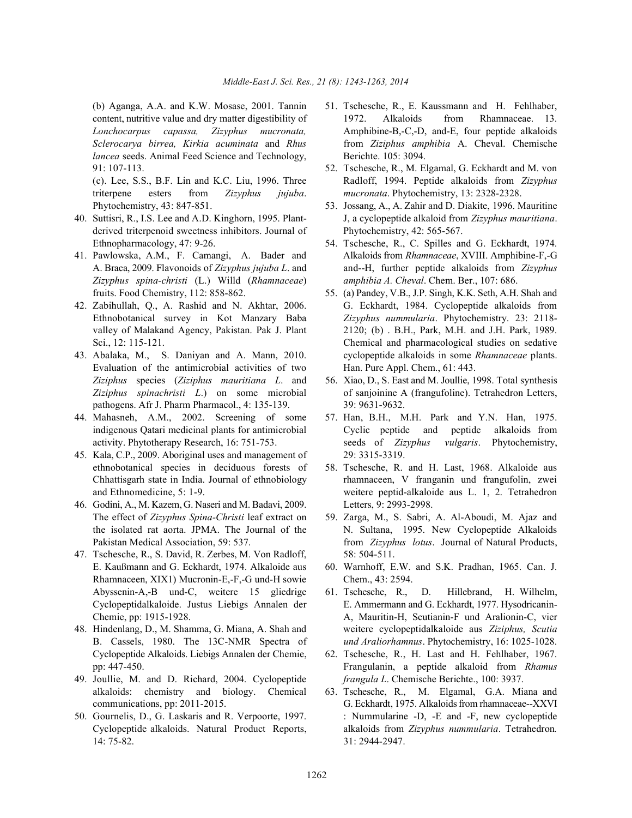*lancea* seeds. Animal Feed Science and Technology, Berichte. 105: 3094. 91: 107-113. 52. Tschesche, R., M. Elgamal, G. Eckhardt and M. von

triterpene esters from *Zizyphus jujuba*. *mucronata*. Phytochemistry, 13: 2328-2328. Phytochemistry, 43: 847-851. 53. Jossang, A., A. Zahir and D. Diakite, 1996. Mauritine

- derived triterpenoid sweetness inhibitors. Journal of Phytochemistry, 42: 565-567.
- *Zizyphus spina-christi* (L.) Willd (*Rhamnaceae*) *amphibia A. Cheval*. Chem. Ber., 107: 686.
- 
- Evaluation of the antimicrobial activities of two Han. Pure Appl. Chem., 61: 443. *Ziziphus* species (*Ziziphus mauritiana L*. and 56. Xiao, D., S. East and M. Joullie, 1998. Total synthesis pathogens. Afr J. Pharm Pharmacol., 4: 135-139. 39: 9631-9632.
- 44. Mahasneh, A.M., 2002. Screening of some 57. Han, B.H., M.H. Park and Y.N. Han, 1975.
- 45. Kala, C.P., 2009. Aboriginal uses and management of 29: 3315-3319. ethnobotanical species in deciduous forests of 58. Tschesche, R. and H. Last, 1968. Alkaloide aus
- 46. Godini, A., M. Kazem, G. Naseri and M. Badavi, 2009. Letters, 9: 2993-2998. The effect of *Zizyphus Spina-Christi* leaf extract on 59. Zarga, M., S. Sabri, A. Al-Aboudi, M. Ajaz and
- 47. Tschesche, R., S. David, R. Zerbes, M. Von Radloff, 58: 504-511. E. Kaußmann and G. Eckhardt, 1974. Alkaloide aus 60. Warnhoff, E.W. and S.K. Pradhan, 1965. Can. J. Rhamnaceen, XIX1) Mucronin-E,-F,-G und-H sowie Chem., 43: 2594.
- Cyclopeptide Alkaloids. Liebigs Annalen der Chemie, 62. Tschesche, R., H. Last and H. Fehlhaber, 1967.
- 49. Joullie, M. and D. Richard, 2004. Cyclopeptide *frangula L*. Chemische Berichte., 100: 3937.
- 14: 75-82. 31: 2944-2947.
- (b) Aganga, A.A. and K.W. Mosase, 2001. Tannin 51. Tschesche, R., E. Kaussmann and H. Fehlhaber, content, nutritive value and dry matter digestibility of 1972. Alkaloids from Rhamnaceae. 13. *Lonchocarpus capassa, Zizyphus mucronata,* Amphibine-B,-C,-D, and-E, four peptide alkaloids *Sclerocarya birrea, Kirkia acuminata* and *Rhus* from *Ziziphus amphibia* A. Cheval. Chemische
- (c). Lee, S.S., B.F. Lin and K.C. Liu, 1996. Three Radloff, 1994. Peptide alkaloids from *Zizyphus*
- 40. Suttisri, R., I.S. Lee and A.D. Kinghorn, 1995. Plant- J, a cyclopeptide alkaloid from *Zizyphus mauritiana*.
- Ethnopharmacology, 47: 9-26. 54. Tschesche, R., C. Spilles and G. Eckhardt, 1974. 41. Pawlowska, A.M., F. Camangi, A. Bader and Alkaloids from *Rhamnaceae*, XVIII. Amphibine-F,-G A. Braca, 2009. Flavonoids of *Zizyphus jujuba L*. and and--H, further peptide alkaloids from *Zizyphus*
- fruits. Food Chemistry, 112: 858-862. 55. (a) Pandey, V.B., J.P. Singh, K.K. Seth, A.H. Shah and 42. Zabihullah, Q., A. Rashid and N. Akhtar, 2006. G. Eckhardt, 1984. Cyclopeptide alkaloids from Ethnobotanical survey in Kot Manzary Baba *Zizyphus nummularia*. Phytochemistry. 23: 2118 valley of Malakand Agency, Pakistan. Pak J. Plant 2120; (b) . B.H., Park, M.H. and J.H. Park, 1989. Sci., 12: 115-121. Chemical and pharmacological studies on sedative 43. Abalaka, M., S. Daniyan and A. Mann, 2010. cyclopeptide alkaloids in some *Rhamnaceae* plants.
	- *Ziziphus spinachristi L*.) on some microbial of sanjoinine A (frangufoline). Tetrahedron Letters,
	- indigenous Qatari medicinal plants for antimicrobial Cyclic peptide and peptide alkaloids from activity. Phytotherapy Research, 16: 751-753. seeds of *Zizyphus vulgaris*. Phytochemistry,
	- Chhattisgarh state in India. Journal of ethnobiology rhamnaceen, V franganin und frangufolin, zwei and Ethnomedicine, 5: 1-9. weitere peptid-alkaloide aus L. 1, 2. Tetrahedron
	- the isolated rat aorta. JPMA. The Journal of the N. Sultana, 1995. New Cyclopeptide Alkaloids Pakistan Medical Association, 59: 537. from *Zizyphus lotus*. Journal of Natural Products,
		-
- Abyssenin-A,-B und-C, weitere 15 gliedrige 61. Tschesche, R., D. Hillebrand, H. Wilhelm, Cyclopeptidalkaloide. Justus Liebigs Annalen der E. Ammermann and G. Eckhardt, 1977. Hysodricanin-Chemie, pp: 1915-1928. A, Mauritin-H, Scutianin-F und Aralionin-C, vier 48. Hindenlang, D., M. Shamma, G. Miana, A. Shah and weitere cyclopeptidalkaloide aus *Ziziphus, Scutia* B. Cassels, 1980. The 13C-NMR Spectra of *und Araliorhamnus*. Phytochemistry, 16: 1025-1028.
	- pp: 447-450. Frangulanin, a peptide alkaloid from *Rhamus*
- alkaloids: chemistry and biology. Chemical 63. Tschesche, R., M. Elgamal, G.A. Miana and communications, pp: 2011-2015. G. Eckhardt, 1975. Alkaloids from rhamnaceae--XXVI 50. Gournelis, D., G. Laskaris and R. Verpoorte, 1997. : Nummularine -D, -E and -F, new cyclopeptide Cyclopeptide alkaloids. Natural Product Reports, alkaloids from *Zizyphus nummularia*. Tetrahedron*.*